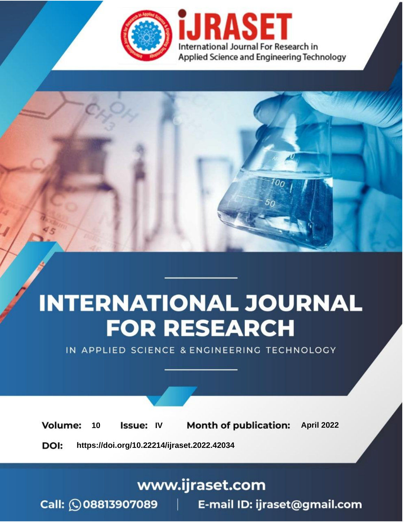

# **INTERNATIONAL JOURNAL FOR RESEARCH**

IN APPLIED SCIENCE & ENGINEERING TECHNOLOGY

10 **Issue: IV Month of publication:** April 2022 **Volume:** 

**https://doi.org/10.22214/ijraset.2022.42034**DOI:

www.ijraset.com

Call: 008813907089 | E-mail ID: ijraset@gmail.com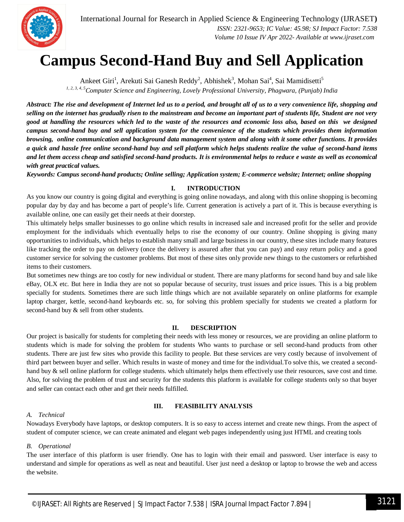

### **Campus Second-Hand Buy and Sell Application**

Ankeet Giri<sup>1</sup>, Arekuti Sai Ganesh Reddy<sup>2</sup>, Abhishek<sup>3</sup>, Mohan Sai<sup>4</sup>, Sai Mamidisetti<sup>5</sup> *1, 2, 3, 4, 5Computer Science and Engineering, Lovely Professional University, Phagwara, (Punjab) India*

*Abstract: The rise and development of Internet led us to a period, and brought all of us to a very convenience life, shopping and selling on the internet has gradually risen to the mainstream and become an important part of students life, Student are not very good at handling the resources which led to the waste of the resources and economic loss also, based on this we designed campus second-hand buy and sell application system for the convenience of the students which provides them information browsing, online communication and background data management system and along with it some other functions. It provides a quick and hassle free online second-hand buy and sell platform which helps students realize the value of second-hand items and let them access cheap and satisfied second-hand products. It is environmental helps to reduce e waste as well as economical with great practical values.*

*Keywords: Campus second-hand products; Online selling; Application system; E-commerce website; Internet; online shopping*

#### **I. INTRODUCTION**

As you know our country is going digital and everything is going online nowadays, and along with this online shopping is becoming popular day by day and has become a part of people's life. Current generation is actively a part of it. This is because everything is available online, one can easily get their needs at their doorstep.

This ultimately helps smaller businesses to go online which results in increased sale and increased profit for the seller and provide employment for the individuals which eventually helps to rise the economy of our country. Online shopping is giving many opportunities to individuals, which helps to establish many small and large business in our country, these sites include many features like tracking the order to pay on delivery (once the delivery is assured after that you can pay) and easy return policy and a good customer service for solving the customer problems. But most of these sites only provide new things to the customers or refurbished items to their customers.

But sometimes new things are too costly for new individual or student. There are many platforms for second hand buy and sale like eBay, OLX etc. But here in India they are not so popular because of security, trust issues and price issues. This is a big problem specially for students. Sometimes there are such little things which are not available separately on online platforms for example laptop charger, kettle, second-hand keyboards etc. so, for solving this problem specially for students we created a platform for second-hand buy & sell from other students.

#### **II. DESCRIPTION**

Our project is basically for students for completing their needs with less money or resources, we are providing an online platform to students which is made for solving the problem for students Who wants to purchase or sell second-hand products from other students. There are just few sites who provide this facility to people. But these services are very costly because of involvement of third part between buyer and seller. Which results in waste of money and time for the individual.To solve this, we created a secondhand buy & sell online platform for college students. which ultimately helps them effectively use their resources, save cost and time. Also, for solving the problem of trust and security for the students this platform is available for college students only so that buyer and seller can contact each other and get their needs fulfilled.

#### **III. FEASIBILITY ANALYSIS**

#### *A. Technical*

Nowadays Everybody have laptops, or desktop computers. It is so easy to access internet and create new things. From the aspect of student of computer science, we can create animated and elegant web pages independently using just HTML and creating tools

#### *B. Operational*

The user interface of this platform is user friendly. One has to login with their email and password. User interface is easy to understand and simple for operations as well as neat and beautiful. User just need a desktop or laptop to browse the web and access the website.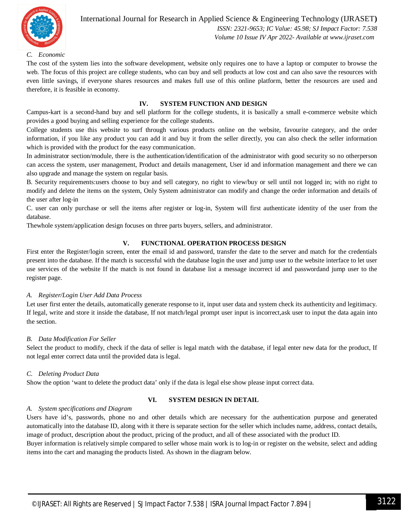

#### International Journal for Research in Applied Science & Engineering Technology (IJRASET**)**  *ISSN: 2321-9653; IC Value: 45.98; SJ Impact Factor: 7.538*

 *Volume 10 Issue IV Apr 2022- Available at www.ijraset.com*

#### *C. Economic*

The cost of the system lies into the software development, website only requires one to have a laptop or computer to browse the web. The focus of this project are college students, who can buy and sell products at low cost and can also save the resources with even little savings, if everyone shares resources and makes full use of this online platform, better the resources are used and therefore, it is feasible in economy.

#### **IV. SYSTEM FUNCTION AND DESIGN**

Campus-kart is a second-hand buy and sell platform for the college students, it is basically a small e-commerce website which provides a good buying and selling experience for the college students.

College students use this website to surf through various products online on the website, favourite category, and the order information, if you like any product you can add it and buy it from the seller directly, you can also check the seller information which is provided with the product for the easy communication.

In administrator section/module, there is the authentication/identification of the administrator with good security so no otherperson can access the system, user management, Product and details management, User id and information management and there we can also upgrade and manage the system on regular basis.

B. Security requirements:users choose to buy and sell category, no right to view/buy or sell until not logged in; with no right to modify and delete the items on the system, Only System administrator can modify and change the order information and details of the user after log-in

C. user can only purchase or sell the items after register or log-in, System will first authenticate identity of the user from the database.

Thewhole system/application design focuses on three parts buyers, sellers, and administrator.

#### **V. FUNCTIONAL OPERATION PROCESS DESIGN**

First enter the Register/login screen, enter the email id and password, transfer the date to the server and match for the credentials present into the database. If the match is successful with the database login the user and jump user to the website interface to let user use services of the website If the match is not found in database list a message incorrect id and passwordand jump user to the register page.

#### *A. Register/Login User Add Data Process*

Let user first enter the details, automatically generate response to it, input user data and system check its authenticity and legitimacy. If legal, write and store it inside the database, If not match/legal prompt user input is incorrect,ask user to input the data again into the section.

#### *B. Data Modification For Seller*

Select the product to modify, check if the data of seller is legal match with the database, if legal enter new data for the product, If not legal enter correct data until the provided data is legal.

#### *C. Deleting Product Data*

Show the option 'want to delete the product data' only if the data is legal else show please input correct data.

#### **VI. SYSTEM DESIGN IN DETAIL**

#### *A. System specifications and Diagram*

Users have id's, passwords, phone no and other details which are necessary for the authentication purpose and generated automatically into the database ID, along with it there is separate section for the seller which includes name, address, contact details, image of product, description about the product, pricing of the product, and all of these associated with the product ID.

Buyer information is relatively simple compared to seller whose main work is to log-in or register on the website, select and adding items into the cart and managing the products listed. As shown in the diagram below.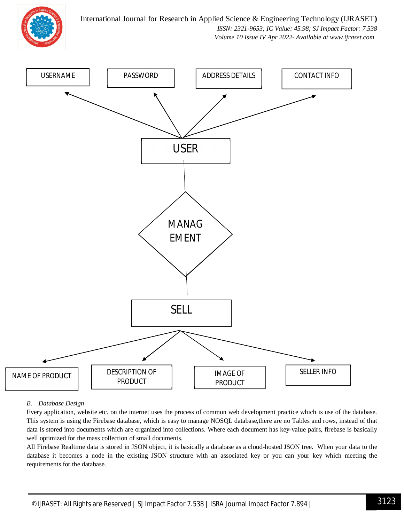International Journal for Research in Applied Science & Engineering Technology (IJRASET**)**



 *ISSN: 2321-9653; IC Value: 45.98; SJ Impact Factor: 7.538 Volume 10 Issue IV Apr 2022- Available at www.ijraset.com*



#### *B. Database Design*

Every application, website etc. on the internet uses the process of common web development practice which is use of the database. This system is using the Firebase database, which is easy to manage NOSQL database,there are no Tables and rows, instead of that data is stored into documents which are organized into collections. Where each document has key-value pairs, firebase is basically well optimized for the mass collection of small documents.

All Firebase Realtime data is stored in JSON object, it is basically a database as a cloud-hosted JSON tree. When your data to the database it becomes a node in the existing JSON structure with an associated key or you can your key which meeting the requirements for the database.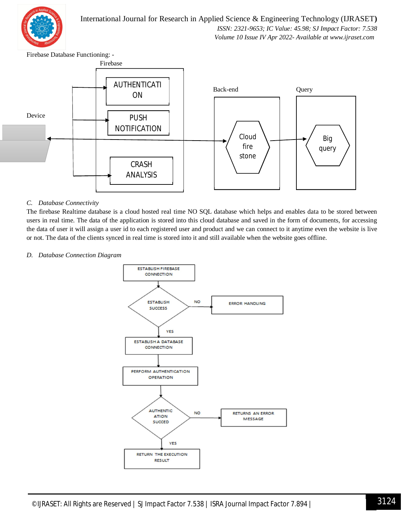

International Journal for Research in Applied Science & Engineering Technology (IJRASET**)**  *ISSN: 2321-9653; IC Value: 45.98; SJ Impact Factor: 7.538*

 *Volume 10 Issue IV Apr 2022- Available at www.ijraset.com*

Firebase Database Functioning: -



#### *C. Database Connectivity*

The firebase Realtime database is a cloud hosted real time NO SQL database which helps and enables data to be stored between users in real time. The data of the application is stored into this cloud database and saved in the form of documents, for accessing the data of user it will assign a user id to each registered user and product and we can connect to it anytime even the website is live or not. The data of the clients synced in real time is stored into it and still available when the website goes offline.

#### *D. Database Connection Diagram*

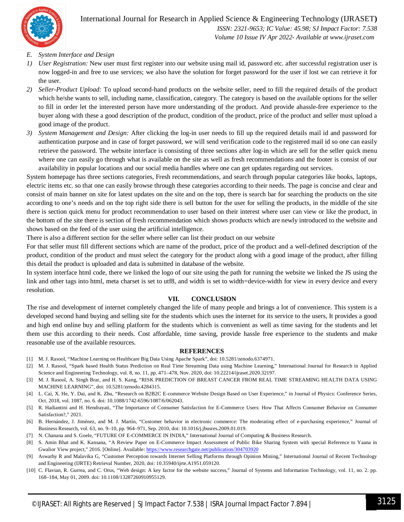

 *Volume 10 Issue IV Apr 2022- Available at www.ijraset.com*

#### *E. System Interface and Design*

- *1) User Registration:* New user must first register into our website using mail id, password etc. after successful registration user is now logged-in and free to use services; we also have the solution for forget password for the user if lost we can retrieve it for the user.
- *2) Seller-Product Upload:* To upload second-hand products on the website seller, need to fill the required details of the product which he/she wants to sell, including name, classification, category. The category is based on the available options for the seller to fill in order let the interested person have more understanding of the product. And provide ahassle-free experience to the buyer along with these a good description of the product, condition of the product, price of the product and seller must upload a good image of the product.
- *3) System Management and Design:* After clicking the log-in user needs to fill up the required details mail id and password for authentication purpose and in case of forget password, we will send verification code to the registered mail id so one can easily retrieve the password. The website interface is consisting of three sections after log-in which are sell for the seller quick menu where one can easily go through what is available on the site as well as fresh recommendations and the footer is consist of our availability in popular locations and our social media handles where one can get updates regarding out services.

System homepage has three sections categories, Fresh recommendations, and search through popular categories like books, laptops, electric items etc. so that one can easily browse through these categories according to their needs. The page is concise and clear and consist of main banner on site for latest updates on the site and on the top, there is search bar for searching the products on the site according to one's needs and on the top right side there is sell button for the user for selling the products, in the middle of the site there is section quick menu for product recommendation to user based on their interest where user can view or like the product, in the bottom of the site there is section of fresh recommendation which shows products which are newly introduced to the website and shows based on the feed of the user using the artificial intelligence.

There is also a different section for the seller where seller can list their product on our website

For that seller must fill different sections which are name of the product, price of the product and a well-defined description of the product, condition of the product and must select the category for the product along with a good image of the product, after filling this detail the product is uploaded and data is submitted in database of the website.

In system interface html code, there we linked the logo of our site using the path for running the website we linked the JS using the link and other tags into html, meta charset is set to utf8, and width is set to width=device-width for view in every device and every resolution.

#### **VII. CONCLUSION**

The rise and development of internet completely changed the life of many people and brings a lot of convenience. This system is a developed second hand buying and selling site for the students which uses the internet for its service to the users, It provides a good and high end online buy and selling platform for the students which is convenient as well as time saving for the students and let them use this according to their needs. Cost affordable, time saving, provide hassle free experience to the students and make reasonable use of the available resources.

#### **REFERENCES**

- [1] M. J. Rasool, "Machine Learning on Healthcare Big Data Using Apache Spark", doi: 10.5281/zenodo.6374971.
- [2] M. J. Rasool, "Spark based Health Status Prediction on Real Time Streaming Data using Machine Learning," International Journal for Research in Applied Science and Engineering Technology, vol. 8, no. 11, pp. 471–478, Nov. 2020, doi: 10.22214/ijraset.2020.32197.
- [3] M. J. Rasool, A. Singh Brar, and H. S. Kang, "RISK PREDICTION OF BREAST CANCER FROM REAL TIME STREAMING HEALTH DATA USING MACHINE LEARNING", doi: 10.5281/zenodo.4284315.
- [4] L. Cai, X. He, Y. Dai, and K. Zhu, "Research on B2B2C E-commerce Website Design Based on User Experience," in Journal of Physics: Conference Series, Oct. 2018, vol. 1087, no. 6. doi: 10.1088/1742-6596/1087/6/062043.
- [5] R. Hadiantini and H. Hendrayati, "The Importance of Consumer Satisfaction for E-Commerce Users: How That Affects Consumer Behavior on Consumer Satisfaction?," 2021.
- [6] B. Hernández, J. Jiménez, and M. J. Martín, "Customer behavior in electronic commerce: The moderating effect of e-purchasing experience," Journal of Business Research, vol. 63, no. 9–10, pp. 964–971, Sep. 2010, doi: 10.1016/j.jbusres.2009.01.019.
- [7] N. Chanana and S. Goele, "FUTURE OF E-COMMERCE IN INDIA," International Journal of Computing & Business Research.
- [8] S. Amin Bhat and K. Kansana, "A Review Paper on E-Commerce Impact Assessment of Public Bike Sharing System with special Reference to Yaana in Gwalior View project," 2016. [Online]. Available: https://www.researchgate.net/publication/304703920
- [9] Aswathy R and Malavika G, "Customer Perception towards Internet Selling Platforms through Opinion Mining," International Journal of Recent Technology and Engineering (IJRTE) Retrieval Number, 2020, doi: 10.35940/ijrte.A1951.059120.
- [10] C. Flavian, R. Gurrea, and C. Orus, "Web design: A key factor for the website success," Journal of Systems and Information Technology, vol. 11, no. 2. pp. 168–184, May 01, 2009. doi: 10.1108/13287260910955129.